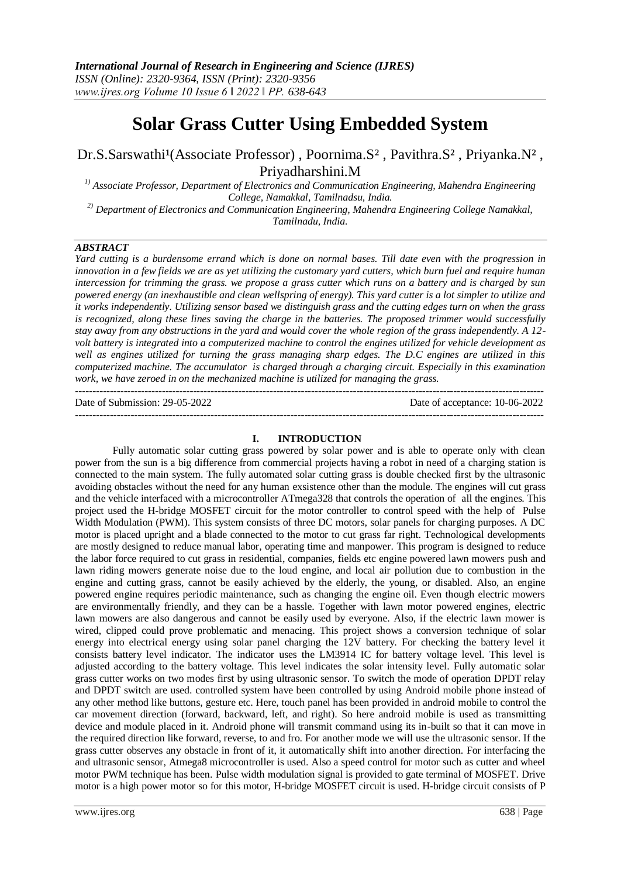---------------------------------------------------------------------------------------------------------------------------------------

# **Solar Grass Cutter Using Embedded System**

Dr.S.Sarswathi<sup>1</sup>(Associate Professor), Poornima.S<sup>2</sup>, Pavithra.S<sup>2</sup>, Priyanka.N<sup>2</sup>, Priyadharshini.M

*1) Associate Professor, Department of Electronics and Communication Engineering, Mahendra Engineering College, Namakkal, Tamilnadsu, India.*

*2) Department of Electronics and Communication Engineering, Mahendra Engineering College Namakkal, Tamilnadu, India.*

## *ABSTRACT*

*Yard cutting is a burdensome errand which is done on normal bases. Till date even with the progression in innovation in a few fields we are as yet utilizing the customary yard cutters, which burn fuel and require human intercession for trimming the grass. we propose a grass cutter which runs on a battery and is charged by sun powered energy (an inexhaustible and clean wellspring of energy). This yard cutter is a lot simpler to utilize and it works independently. Utilizing sensor based we distinguish grass and the cutting edges turn on when the grass is recognized, along these lines saving the charge in the batteries. The proposed trimmer would successfully stay away from any obstructions in the yard and would cover the whole region of the grass independently. A 12 volt battery is integrated into a computerized machine to control the engines utilized for vehicle development as well as engines utilized for turning the grass managing sharp edges. The D.C engines are utilized in this computerized machine. The accumulator is charged through a charging circuit. Especially in this examination work, we have zeroed in on the mechanized machine is utilized for managing the grass.*

Date of Submission: 29-05-2022 Date of acceptance: 10-06-2022

#### **I. INTRODUCTION**

---------------------------------------------------------------------------------------------------------------------------------------

Fully automatic solar cutting grass powered by solar power and is able to operate only with clean power from the sun is a big difference from commercial projects having a robot in need of a charging station is connected to the main system. The fully automated solar cutting grass is double checked first by the ultrasonic avoiding obstacles without the need for any human exsistence other than the module. The engines will cut grass and the vehicle interfaced with a microcontroller ATmega328 that controls the operation of all the engines. This project used the H-bridge MOSFET circuit for the motor controller to control speed with the help of Pulse Width Modulation (PWM). This system consists of three DC motors, solar panels for charging purposes. A DC motor is placed upright and a blade connected to the motor to cut grass far right. Technological developments are mostly designed to reduce manual labor, operating time and manpower. This program is designed to reduce the labor force required to cut grass in residential, companies, fields etc engine powered lawn mowers push and lawn riding mowers generate noise due to the loud engine, and local air pollution due to combustion in the engine and cutting grass, cannot be easily achieved by the elderly, the young, or disabled. Also, an engine powered engine requires periodic maintenance, such as changing the engine oil. Even though electric mowers are environmentally friendly, and they can be a hassle. Together with lawn motor powered engines, electric lawn mowers are also dangerous and cannot be easily used by everyone. Also, if the electric lawn mower is wired, clipped could prove problematic and menacing. This project shows a conversion technique of solar energy into electrical energy using solar panel charging the 12V battery. For checking the battery level it consists battery level indicator. The indicator uses the LM3914 IC for battery voltage level. This level is adjusted according to the battery voltage. This level indicates the solar intensity level. Fully automatic solar grass cutter works on two modes first by using ultrasonic sensor. To switch the mode of operation DPDT relay and DPDT switch are used. controlled system have been controlled by using Android mobile phone instead of any other method like buttons, gesture etc. Here, touch panel has been provided in android mobile to control the car movement direction (forward, backward, left, and right). So here android mobile is used as transmitting device and module placed in it. Android phone will transmit command using its in-built so that it can move in the required direction like forward, reverse, to and fro. For another mode we will use the ultrasonic sensor. If the grass cutter observes any obstacle in front of it, it automatically shift into another direction. For interfacing the and ultrasonic sensor, Atmega8 microcontroller is used. Also a speed control for motor such as cutter and wheel motor PWM technique has been. Pulse width modulation signal is provided to gate terminal of MOSFET. Drive motor is a high power motor so for this motor, H-bridge MOSFET circuit is used. H-bridge circuit consists of P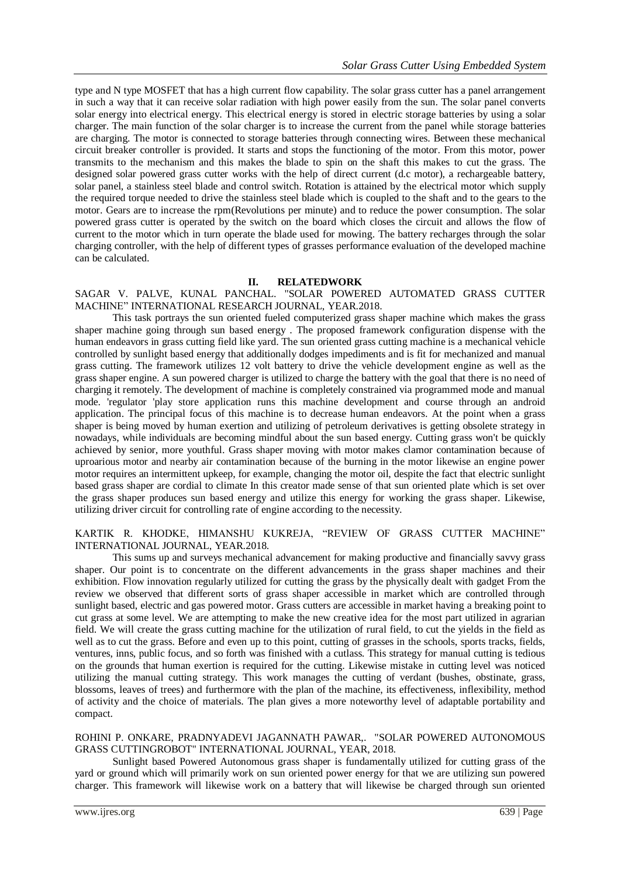type and N type MOSFET that has a high current flow capability. The solar grass cutter has a panel arrangement in such a way that it can receive solar radiation with high power easily from the sun. The solar panel converts solar energy into electrical energy. This electrical energy is stored in electric storage batteries by using a solar charger. The main function of the solar charger is to increase the current from the panel while storage batteries are charging. The motor is connected to storage batteries through connecting wires. Between these mechanical circuit breaker controller is provided. It starts and stops the functioning of the motor. From this motor, power transmits to the mechanism and this makes the blade to spin on the shaft this makes to cut the grass. The designed solar powered grass cutter works with the help of direct current (d.c motor), a rechargeable battery, solar panel, a stainless steel blade and control switch. Rotation is attained by the electrical motor which supply the required torque needed to drive the stainless steel blade which is coupled to the shaft and to the gears to the motor. Gears are to increase the rpm(Revolutions per minute) and to reduce the power consumption. The solar powered grass cutter is operated by the switch on the board which closes the circuit and allows the flow of current to the motor which in turn operate the blade used for mowing. The battery recharges through the solar charging controller, with the help of different types of grasses performance evaluation of the developed machine can be calculated.

## **II. RELATEDWORK**

SAGAR V. PALVE, KUNAL PANCHAL. "SOLAR POWERED AUTOMATED GRASS CUTTER MACHINE" INTERNATIONAL RESEARCH JOURNAL, YEAR.2018.

This task portrays the sun oriented fueled computerized grass shaper machine which makes the grass shaper machine going through sun based energy . The proposed framework configuration dispense with the human endeavors in grass cutting field like yard. The sun oriented grass cutting machine is a mechanical vehicle controlled by sunlight based energy that additionally dodges impediments and is fit for mechanized and manual grass cutting. The framework utilizes 12 volt battery to drive the vehicle development engine as well as the grass shaper engine. A sun powered charger is utilized to charge the battery with the goal that there is no need of charging it remotely. The development of machine is completely constrained via programmed mode and manual mode. 'regulator 'play store application runs this machine development and course through an android application. The principal focus of this machine is to decrease human endeavors. At the point when a grass shaper is being moved by human exertion and utilizing of petroleum derivatives is getting obsolete strategy in nowadays, while individuals are becoming mindful about the sun based energy. Cutting grass won't be quickly achieved by senior, more youthful. Grass shaper moving with motor makes clamor contamination because of uproarious motor and nearby air contamination because of the burning in the motor likewise an engine power motor requires an intermittent upkeep, for example, changing the motor oil, despite the fact that electric sunlight based grass shaper are cordial to climate In this creator made sense of that sun oriented plate which is set over the grass shaper produces sun based energy and utilize this energy for working the grass shaper. Likewise, utilizing driver circuit for controlling rate of engine according to the necessity.

#### KARTIK R. KHODKE, HIMANSHU KUKREJA, "REVIEW OF GRASS CUTTER MACHINE" INTERNATIONAL JOURNAL, YEAR.2018.

This sums up and surveys mechanical advancement for making productive and financially savvy grass shaper. Our point is to concentrate on the different advancements in the grass shaper machines and their exhibition. Flow innovation regularly utilized for cutting the grass by the physically dealt with gadget From the review we observed that different sorts of grass shaper accessible in market which are controlled through sunlight based, electric and gas powered motor. Grass cutters are accessible in market having a breaking point to cut grass at some level. We are attempting to make the new creative idea for the most part utilized in agrarian field. We will create the grass cutting machine for the utilization of rural field, to cut the yields in the field as well as to cut the grass. Before and even up to this point, cutting of grasses in the schools, sports tracks, fields, ventures, inns, public focus, and so forth was finished with a cutlass. This strategy for manual cutting is tedious on the grounds that human exertion is required for the cutting. Likewise mistake in cutting level was noticed utilizing the manual cutting strategy. This work manages the cutting of verdant (bushes, obstinate, grass, blossoms, leaves of trees) and furthermore with the plan of the machine, its effectiveness, inflexibility, method of activity and the choice of materials. The plan gives a more noteworthy level of adaptable portability and compact.

#### ROHINI P. ONKARE, PRADNYADEVI JAGANNATH PAWAR,. "SOLAR POWERED AUTONOMOUS GRASS CUTTINGROBOT" INTERNATIONAL JOURNAL, YEAR, 2018.

Sunlight based Powered Autonomous grass shaper is fundamentally utilized for cutting grass of the yard or ground which will primarily work on sun oriented power energy for that we are utilizing sun powered charger. This framework will likewise work on a battery that will likewise be charged through sun oriented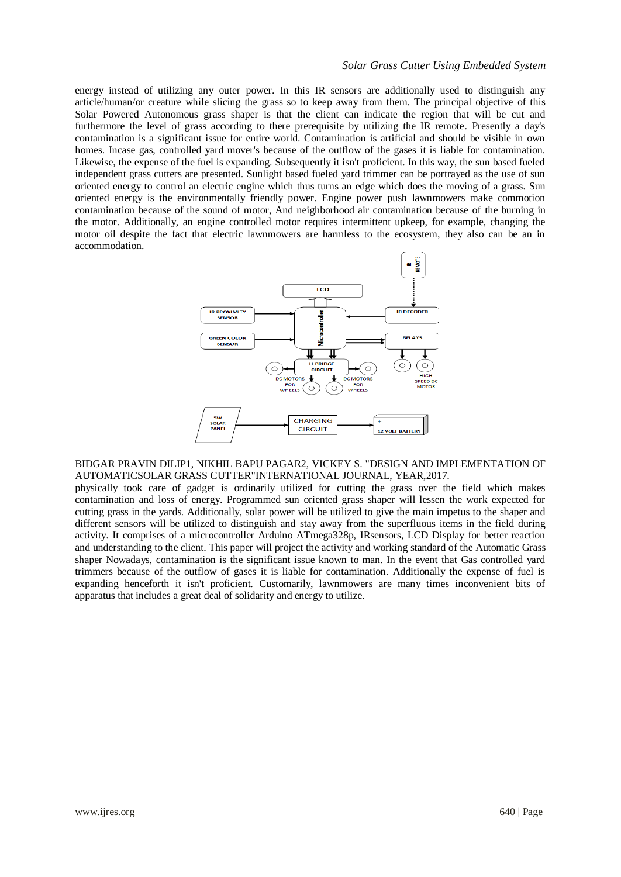energy instead of utilizing any outer power. In this IR sensors are additionally used to distinguish any article/human/or creature while slicing the grass so to keep away from them. The principal objective of this Solar Powered Autonomous grass shaper is that the client can indicate the region that will be cut and furthermore the level of grass according to there prerequisite by utilizing the IR remote. Presently a day's contamination is a significant issue for entire world. Contamination is artificial and should be visible in own homes. Incase gas, controlled yard mover's because of the outflow of the gases it is liable for contamination. Likewise, the expense of the fuel is expanding. Subsequently it isn't proficient. In this way, the sun based fueled independent grass cutters are presented. Sunlight based fueled yard trimmer can be portrayed as the use of sun oriented energy to control an electric engine which thus turns an edge which does the moving of a grass. Sun oriented energy is the environmentally friendly power. Engine power push lawnmowers make commotion contamination because of the sound of motor, And neighborhood air contamination because of the burning in the motor. Additionally, an engine controlled motor requires intermittent upkeep, for example, changing the motor oil despite the fact that electric lawnmowers are harmless to the ecosystem, they also can be an in accommodation.



#### BIDGAR PRAVIN DILIP1, NIKHIL BAPU PAGAR2, VICKEY S. "DESIGN AND IMPLEMENTATION OF AUTOMATICSOLAR GRASS CUTTER"INTERNATIONAL JOURNAL, YEAR,2017.

physically took care of gadget is ordinarily utilized for cutting the grass over the field which makes contamination and loss of energy. Programmed sun oriented grass shaper will lessen the work expected for cutting grass in the yards. Additionally, solar power will be utilized to give the main impetus to the shaper and different sensors will be utilized to distinguish and stay away from the superfluous items in the field during activity. It comprises of a microcontroller Arduino ATmega328p, IRsensors, LCD Display for better reaction and understanding to the client. This paper will project the activity and working standard of the Automatic Grass shaper Nowadays, contamination is the significant issue known to man. In the event that Gas controlled yard trimmers because of the outflow of gases it is liable for contamination. Additionally the expense of fuel is expanding henceforth it isn't proficient. Customarily, lawnmowers are many times inconvenient bits of apparatus that includes a great deal of solidarity and energy to utilize.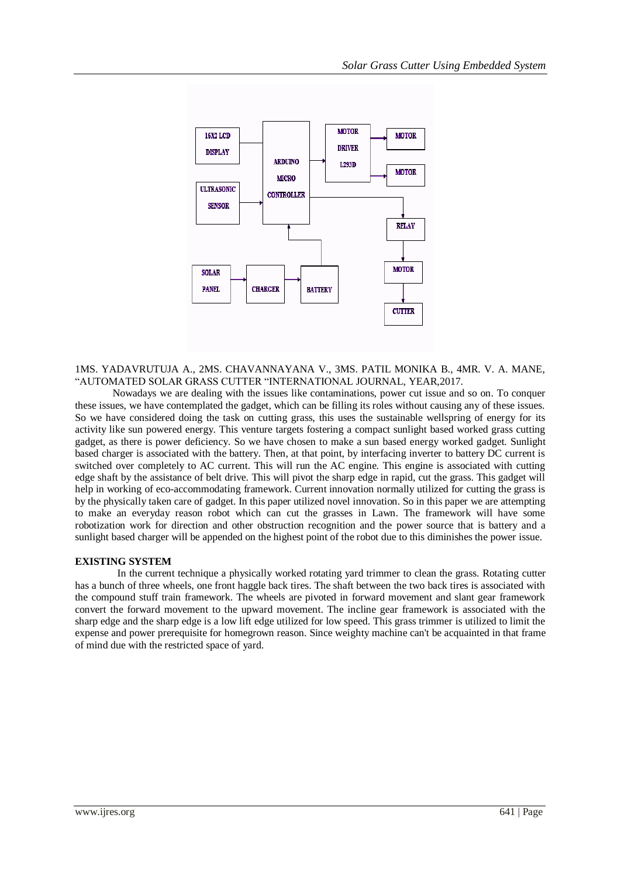

1MS. YADAVRUTUJA A., 2MS. CHAVANNAYANA V., 3MS. PATIL MONIKA B., 4MR. V. A. MANE, "AUTOMATED SOLAR GRASS CUTTER "INTERNATIONAL JOURNAL, YEAR,2017.

Nowadays we are dealing with the issues like contaminations, power cut issue and so on. To conquer these issues, we have contemplated the gadget, which can be filling its roles without causing any of these issues. So we have considered doing the task on cutting grass, this uses the sustainable wellspring of energy for its activity like sun powered energy. This venture targets fostering a compact sunlight based worked grass cutting gadget, as there is power deficiency. So we have chosen to make a sun based energy worked gadget. Sunlight based charger is associated with the battery. Then, at that point, by interfacing inverter to battery DC current is switched over completely to AC current. This will run the AC engine. This engine is associated with cutting edge shaft by the assistance of belt drive. This will pivot the sharp edge in rapid, cut the grass. This gadget will help in working of eco-accommodating framework. Current innovation normally utilized for cutting the grass is by the physically taken care of gadget. In this paper utilized novel innovation. So in this paper we are attempting to make an everyday reason robot which can cut the grasses in Lawn. The framework will have some robotization work for direction and other obstruction recognition and the power source that is battery and a sunlight based charger will be appended on the highest point of the robot due to this diminishes the power issue.

#### **EXISTING SYSTEM**

In the current technique a physically worked rotating yard trimmer to clean the grass. Rotating cutter has a bunch of three wheels, one front haggle back tires. The shaft between the two back tires is associated with the compound stuff train framework. The wheels are pivoted in forward movement and slant gear framework convert the forward movement to the upward movement. The incline gear framework is associated with the sharp edge and the sharp edge is a low lift edge utilized for low speed. This grass trimmer is utilized to limit the expense and power prerequisite for homegrown reason. Since weighty machine can't be acquainted in that frame of mind due with the restricted space of yard.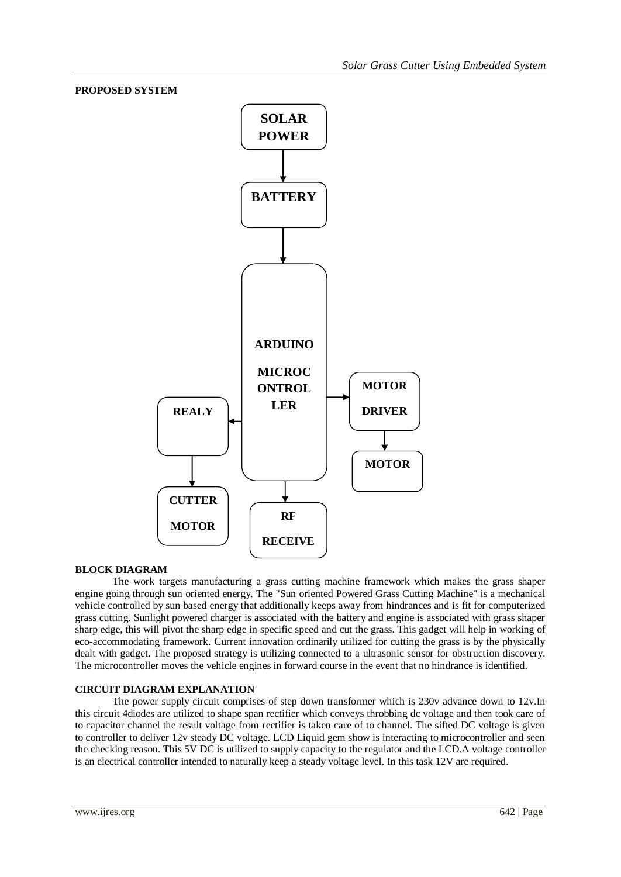### **PROPOSED SYSTEM**



#### **BLOCK DIAGRAM**

The work targets manufacturing a grass cutting machine framework which makes the grass shaper engine going through sun oriented energy. The "Sun oriented Powered Grass Cutting Machine" is a mechanical vehicle controlled by sun based energy that additionally keeps away from hindrances and is fit for computerized grass cutting. Sunlight powered charger is associated with the battery and engine is associated with grass shaper sharp edge, this will pivot the sharp edge in specific speed and cut the grass. This gadget will help in working of eco-accommodating framework. Current innovation ordinarily utilized for cutting the grass is by the physically dealt with gadget. The proposed strategy is utilizing connected to a ultrasonic sensor for obstruction discovery. The microcontroller moves the vehicle engines in forward course in the event that no hindrance is identified.

#### **CIRCUIT DIAGRAM EXPLANATION**

The power supply circuit comprises of step down transformer which is 230v advance down to 12v.In this circuit 4diodes are utilized to shape span rectifier which conveys throbbing dc voltage and then took care of to capacitor channel the result voltage from rectifier is taken care of to channel. The sifted DC voltage is given to controller to deliver 12v steady DC voltage. LCD Liquid gem show is interacting to microcontroller and seen the checking reason. This 5V DC is utilized to supply capacity to the regulator and the LCD.A voltage controller is an electrical controller intended to naturally keep a steady voltage level. In this task 12V are required.